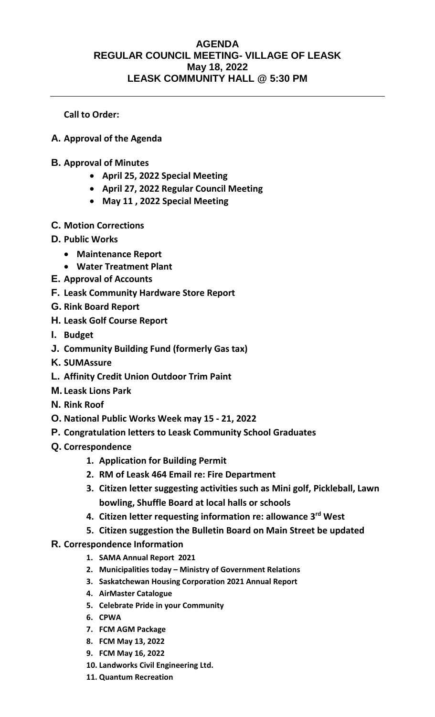## **AGENDA REGULAR COUNCIL MEETING- VILLAGE OF LEASK May 18, 2022 LEASK COMMUNITY HALL @ 5:30 PM**

**Call to Order:** 

- **A. Approval of the Agenda**
- **B. Approval of Minutes**
	- **April 25, 2022 Special Meeting**
	- **April 27, 2022 Regular Council Meeting**
	- **May 11 , 2022 Special Meeting**
- **C. Motion Corrections**
- **D. Public Works**
	- **Maintenance Report**
	- **Water Treatment Plant**
- **E. Approval of Accounts**
- **F. Leask Community Hardware Store Report**
- **G. Rink Board Report**
- **H. Leask Golf Course Report**
- **I. Budget**
- **J. Community Building Fund (formerly Gas tax)**
- **K. SUMAssure**
- **L. Affinity Credit Union Outdoor Trim Paint**
- **M. Leask Lions Park**
- **N. Rink Roof**
- **O. National Public Works Week may 15 - 21, 2022**
- **P. Congratulation letters to Leask Community School Graduates**
- **Q. Correspondence**
	- **1. Application for Building Permit**
	- **2. RM of Leask 464 Email re: Fire Department**
	- **3. Citizen letter suggesting activities such as Mini golf, Pickleball, Lawn bowling, Shuffle Board at local halls or schools**
	- **4. Citizen letter requesting information re: allowance 3rd West**
	- **5. Citizen suggestion the Bulletin Board on Main Street be updated**
- **R. Correspondence Information**
	- **1. SAMA Annual Report 2021**
	- **2. Municipalities today – Ministry of Government Relations**
	- **3. Saskatchewan Housing Corporation 2021 Annual Report**
	- **4. AirMaster Catalogue**
	- **5. Celebrate Pride in your Community**
	- **6. CPWA**
	- **7. FCM AGM Package**
	- **8. FCM May 13, 2022**
	- **9. FCM May 16, 2022**
	- **10. Landworks Civil Engineering Ltd.**
	- **11. Quantum Recreation**